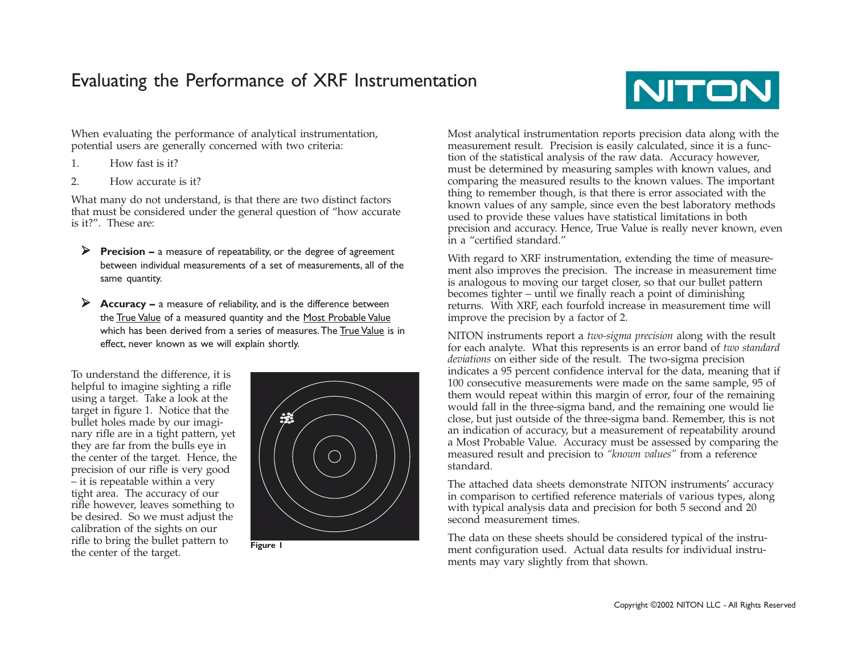### Evaluating the Performance of XRF Instrumentation



When evaluating the performance of analytical instrumentation, potential users are generally concerned with two criteria:

- 1. How fast is it?
- 2. How accurate is it?

What many do not understand, is that there are two distinct factors that must be considered under the general question of "how accurate is it?". These are:

- **Precision –** a measure of repeatability, or the degree of agreement between individual measurements of a set of measurements, all of the same quantity.
- **Accuracy –** a measure of reliability, and is the difference between the <u>True Value</u> of a measured quantity and the <u>Most Probable Value</u> which has been derived from a series of measures. The True Value is in effect, never known as we will explain shortly.

To understand the difference, it is helpful to imagine sighting a rifle using a target. Take a look at the target in figure 1. Notice that the bullet holes made by our imaginary rifle are in a tight pattern, yet they are far from the bulls eye in the center of the target. Hence, the precision of our rifle is very good – it is repeatable within a very tight area. The accuracy of our rifle however, leaves something to be desired. So we must adjust the calibration of the sights on our rifle to bring the bullet pattern to the center of the target.



**Figure 1**

Most analytical instrumentation reports precision data along with the measurement result. Precision is easily calculated, since it is a function of the statistical analysis of the raw data. Accuracy however, must be determined by measuring samples with known values, and comparing the measured results to the known values. The important thing to remember though, is that there is error associated with the known values of any sample, since even the best laboratory methods used to provide these values have statistical limitations in both precision and accuracy. Hence, True Value is really never known, even in a "certified standard."

With regard to XRF instrumentation, extending the time of measurement also improves the precision. The increase in measurement time is analogous to moving our target closer, so that our bullet pattern becomes tighter – until we finally reach a point of diminishing returns. With XRF, each fourfold increase in measurement time will improve the precision by a factor of 2.

NITON instruments report a *two-sigma precision* along with the result for each analyte. What this represents is an error band of *two standard deviations* on either side of the result. The two-sigma precision indicates a 95 percent confidence interval for the data, meaning that if 100 consecutive measurements were made on the same sample, 95 of them would repeat within this margin of error, four of the remaining would fall in the three-sigma band, and the remaining one would lie close, but just outside of the three-sigma band. Remember, this is not an indication of accuracy, but a measurement of repeatability around a Most Probable Value. Accuracy must be assessed by comparing the measured result and precision to *"known values"* from a reference standard.

The attached data sheets demonstrate NITON instruments' accuracy in comparison to certified reference materials of various types, along with typical analysis data and precision for both 5 second and 20 second measurement times.

The data on these sheets should be considered typical of the instrument configuration used. Actual data results for individual instruments may vary slightly from that shown.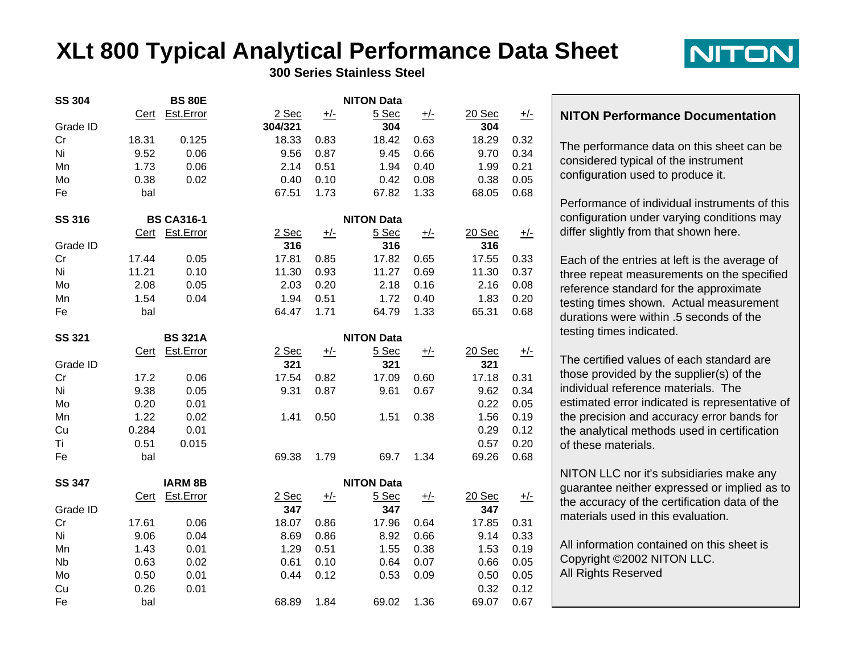# **XLt 800 Typical Analytical Performance Data Sheet**



**300 Series Stainless Steel**

| <b>SS 304</b> | <b>BS 80E</b>     |                |         | <b>NITON Data</b> |                   |            |        |            |  |
|---------------|-------------------|----------------|---------|-------------------|-------------------|------------|--------|------------|--|
|               | Cert              | Est.Error      | $2$ Sec | <u>+/-</u>        | $5$ Sec           | <u>+/-</u> | 20 Sec | <u>+/-</u> |  |
| Grade ID      |                   |                | 304/321 |                   | 304               |            | 304    |            |  |
| Cr            | 18.31             | 0.125          | 18.33   | 0.83              | 18.42             | 0.63       | 18.29  | 0.32       |  |
| Ni            | 9.52              | 0.06           | 9.56    | 0.87              | 9.45              | 0.66       | 9.70   | 0.34       |  |
| Mn            | 1.73              | 0.06           | 2.14    | 0.51              | 1.94              | 0.40       | 1.99   | 0.21       |  |
| Mo            | 0.38              | 0.02           | 0.40    | 0.10              | 0.42              | 0.08       | 0.38   | 0.05       |  |
| Fe            | bal               |                | 67.51   | 1.73              | 67.82             | 1.33       | 68.05  | 0.68       |  |
| <b>SS 316</b> | <b>BS CA316-1</b> |                |         | <b>NITON Data</b> |                   |            |        |            |  |
|               | Cert              | Est.Error      | $2$ Sec | <u>+/-</u>        | 5 Sec             | <u>+/-</u> | 20 Sec | <u>+/-</u> |  |
| Grade ID      |                   |                | 316     |                   | 316               |            | 316    |            |  |
| Cr            | 17.44             | 0.05           | 17.81   | 0.85              | 17.82             | 0.65       | 17.55  | 0.33       |  |
| Ni            | 11.21             | 0.10           | 11.30   | 0.93              | 11.27             | 0.69       | 11.30  | 0.37       |  |
| Mo            | 2.08              | 0.05           | 2.03    | 0.20              | 2.18              | 0.16       | 2.16   | 0.08       |  |
| Mn            | 1.54              | 0.04           | 1.94    | 0.51              | 1.72              | 0.40       | 1.83   | 0.20       |  |
| Fe            | bal               |                | 64.47   | 1.71              | 64.79             | 1.33       | 65.31  | 0.68       |  |
| <b>SS 321</b> |                   | <b>BS 321A</b> |         |                   | <b>NITON Data</b> |            |        |            |  |
|               | <b>Cert</b>       | Est.Error      | $2$ Sec | <u>+/-</u>        | $5$ Sec           | <u>+/-</u> | 20 Sec | <u>+/-</u> |  |
| Grade ID      |                   |                | 321     |                   | 321               |            | 321    |            |  |
| Cr            | 17.2              | 0.06           | 17.54   | 0.82              | 17.09             | 0.60       | 17.18  | 0.31       |  |
| Ni            | 9.38              | 0.05           | 9.31    | 0.87              | 9.61              | 0.67       | 9.62   | 0.34       |  |
| Mo            | 0.20              | 0.01           |         |                   |                   |            | 0.22   | 0.05       |  |
| Mn            | 1.22              | 0.02           | 1.41    | 0.50              | 1.51              | 0.38       | 1.56   | 0.19       |  |
| Cu            | 0.284             | 0.01           |         |                   |                   |            | 0.29   | 0.12       |  |
| Ti            | 0.51              | 0.015          |         |                   |                   |            | 0.57   | 0.20       |  |
| Fe            | bal               |                | 69.38   | 1.79              | 69.7              | 1.34       | 69.26  | 0.68       |  |
| <b>SS 347</b> | <b>IARM 8B</b>    |                |         | <b>NITON Data</b> |                   |            |        |            |  |
|               | Cert              | Est.Error      | $2$ Sec | <u>+/-</u>        | 5 Sec             | <u>+/-</u> | 20 Sec | <u>+/-</u> |  |
| Grade ID      |                   |                | 347     |                   | 347               |            | 347    |            |  |
| Cr            | 17.61             | 0.06           | 18.07   | 0.86              | 17.96             | 0.64       | 17.85  | 0.31       |  |
| Ni            | 9.06              | 0.04           | 8.69    | 0.86              | 8.92              | 0.66       | 9.14   | 0.33       |  |
| Mn            | 1.43              | 0.01           | 1.29    | 0.51              | 1.55              | 0.38       | 1.53   | 0.19       |  |
| <b>Nb</b>     | 0.63              | 0.02           | 0.61    | 0.10              | 0.64              | 0.07       | 0.66   | 0.05       |  |
| Mo            | 0.50              | 0.01           | 0.44    | 0.12              | 0.53              | 0.09       | 0.50   | 0.05       |  |
| Cu            | 0.26              | 0.01           |         |                   |                   |            | 0.32   | 0.12       |  |
| Fe            | bal               |                | 68.89   | 1.84              | 69.02             | 1.36       | 69.07  | 0.67       |  |

#### **NITON Performance Documentation**

The performance data on this sheet can be considered typical of the instrument configuration used to produce it.

Performance of individual instruments of this configuration under varying conditions may differ slightly from that shown here.

Each of the entries at left is the average of three repeat measurements on the specified reference standard for the approximate testing times shown. Actual measurement durations were within .5 seconds of the testing times indicated.

The certified values of each standard are those provided by the supplier(s) of the individual reference materials. The estimated error indicated is representative of the precision and accuracy error bands for the analytical methods used in certification of these materials.

NITON LLC nor it's subsidiaries make any guarantee neither expressed or implied as to the accuracy of the certification data of the materials used in this evaluation.

All information contained on this sheet is Copyright ©2002 NITON LLC. All Rights Reserved